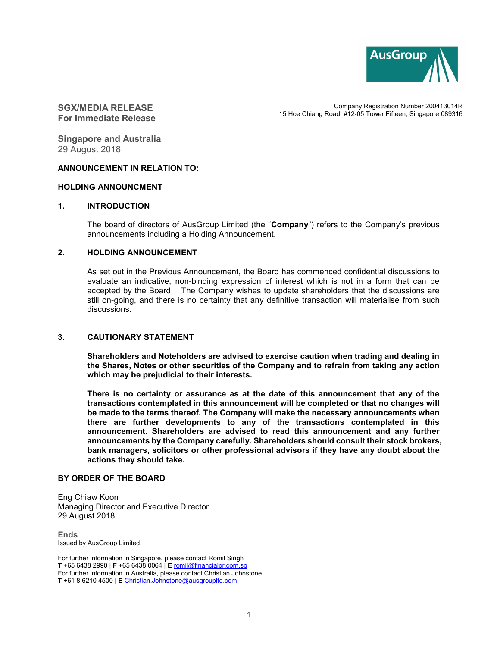

# SGX/MEDIA RELEASE For Immediate Release

Company Registration Number 200413014R 15 Hoe Chiang Road, #12-05 Tower Fifteen, Singapore 089316

Singapore and Australia 29 August 2018

# ANNOUNCEMENT IN RELATION TO:

#### HOLDING ANNOUNCMENT

### 1. INTRODUCTION

The board of directors of AusGroup Limited (the "Company") refers to the Company's previous announcements including a Holding Announcement.

### 2. HOLDING ANNOUNCEMENT

As set out in the Previous Announcement, the Board has commenced confidential discussions to evaluate an indicative, non-binding expression of interest which is not in a form that can be accepted by the Board. The Company wishes to update shareholders that the discussions are still on-going, and there is no certainty that any definitive transaction will materialise from such discussions.

## 3. CAUTIONARY STATEMENT

Shareholders and Noteholders are advised to exercise caution when trading and dealing in the Shares, Notes or other securities of the Company and to refrain from taking any action which may be prejudicial to their interests.

There is no certainty or assurance as at the date of this announcement that any of the transactions contemplated in this announcement will be completed or that no changes will be made to the terms thereof. The Company will make the necessary announcements when there are further developments to any of the transactions contemplated in this announcement. Shareholders are advised to read this announcement and any further announcements by the Company carefully. Shareholders should consult their stock brokers, bank managers, solicitors or other professional advisors if they have any doubt about the actions they should take.

#### BY ORDER OF THE BOARD

Eng Chiaw Koon Managing Director and Executive Director 29 August 2018

**Ends** Issued by AusGroup Limited.

For further information in Singapore, please contact Romil Singh T +65 6438 2990 | F +65 6438 0064 | E romil@financialpr.com.sg For further information in Australia, please contact Christian Johnstone T +61 8 6210 4500 | E Christian.Johnstone@ausgroupltd.com